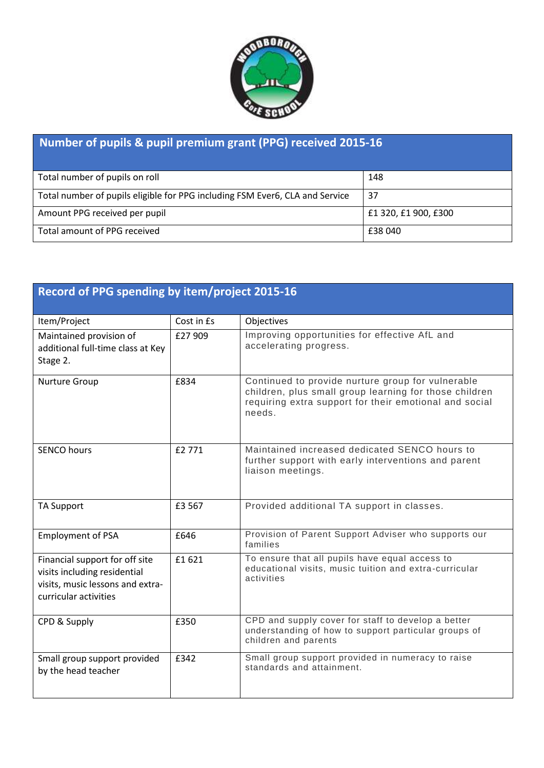

## **Number of pupils & pupil premium grant (PPG) received 2015-16**

| Total number of pupils on roll                                               | 148                  |
|------------------------------------------------------------------------------|----------------------|
| Total number of pupils eligible for PPG including FSM Ever6, CLA and Service | -37                  |
| Amount PPG received per pupil                                                | £1 320, £1 900, £300 |
| Total amount of PPG received                                                 | £38 040              |

| Record of PPG spending by item/project 2015-16                                                                              |            |                                                                                                                                                                                 |  |  |  |
|-----------------------------------------------------------------------------------------------------------------------------|------------|---------------------------------------------------------------------------------------------------------------------------------------------------------------------------------|--|--|--|
| Item/Project                                                                                                                | Cost in Es | Objectives                                                                                                                                                                      |  |  |  |
| Maintained provision of<br>additional full-time class at Key<br>Stage 2.                                                    | £27 909    | Improving opportunities for effective AfL and<br>accelerating progress.                                                                                                         |  |  |  |
| Nurture Group                                                                                                               | £834       | Continued to provide nurture group for vulnerable<br>children, plus small group learning for those children<br>requiring extra support for their emotional and social<br>needs. |  |  |  |
| <b>SENCO hours</b>                                                                                                          | £2771      | Maintained increased dedicated SENCO hours to<br>further support with early interventions and parent<br>liaison meetings.                                                       |  |  |  |
| <b>TA Support</b>                                                                                                           | £3 567     | Provided additional TA support in classes.                                                                                                                                      |  |  |  |
| <b>Employment of PSA</b>                                                                                                    | £646       | Provision of Parent Support Adviser who supports our<br>families                                                                                                                |  |  |  |
| Financial support for off site<br>visits including residential<br>visits, music lessons and extra-<br>curricular activities | £1621      | To ensure that all pupils have equal access to<br>educational visits, music tuition and extra-curricular<br>activities                                                          |  |  |  |
| CPD & Supply                                                                                                                | £350       | CPD and supply cover for staff to develop a better<br>understanding of how to support particular groups of<br>children and parents                                              |  |  |  |
| Small group support provided<br>by the head teacher                                                                         | £342       | Small group support provided in numeracy to raise<br>standards and attainment.                                                                                                  |  |  |  |